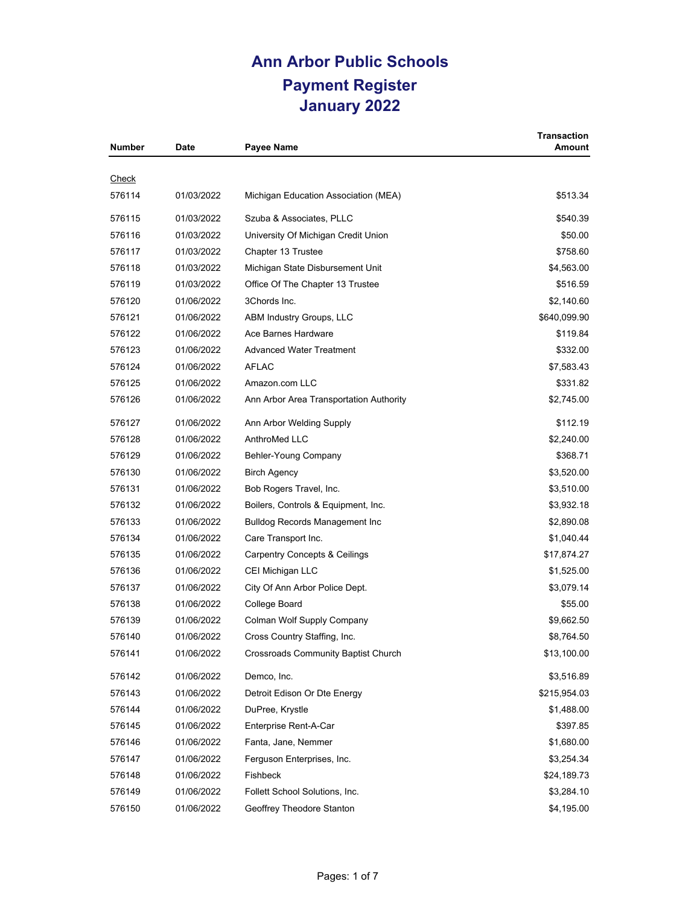| <b>Number</b> | <b>Date</b> | <b>Payee Name</b>                          | <b>Transaction</b><br><b>Amount</b> |
|---------------|-------------|--------------------------------------------|-------------------------------------|
|               |             |                                            |                                     |
| <u>Check</u>  |             |                                            |                                     |
| 576114        | 01/03/2022  | Michigan Education Association (MEA)       | \$513.34                            |
| 576115        | 01/03/2022  | Szuba & Associates, PLLC                   | \$540.39                            |
| 576116        | 01/03/2022  | University Of Michigan Credit Union        | \$50.00                             |
| 576117        | 01/03/2022  | Chapter 13 Trustee                         | \$758.60                            |
| 576118        | 01/03/2022  | Michigan State Disbursement Unit           | \$4,563.00                          |
| 576119        | 01/03/2022  | Office Of The Chapter 13 Trustee           | \$516.59                            |
| 576120        | 01/06/2022  | 3Chords Inc.                               | \$2,140.60                          |
| 576121        | 01/06/2022  | ABM Industry Groups, LLC                   | \$640,099.90                        |
| 576122        | 01/06/2022  | Ace Barnes Hardware                        | \$119.84                            |
| 576123        | 01/06/2022  | <b>Advanced Water Treatment</b>            | \$332.00                            |
| 576124        | 01/06/2022  | AFLAC                                      | \$7,583.43                          |
| 576125        | 01/06/2022  | Amazon.com LLC                             | \$331.82                            |
| 576126        | 01/06/2022  | Ann Arbor Area Transportation Authority    | \$2,745.00                          |
| 576127        | 01/06/2022  | Ann Arbor Welding Supply                   | \$112.19                            |
| 576128        | 01/06/2022  | AnthroMed LLC                              | \$2.240.00                          |
| 576129        | 01/06/2022  | Behler-Young Company                       | \$368.71                            |
| 576130        | 01/06/2022  | <b>Birch Agency</b>                        | \$3,520.00                          |
| 576131        | 01/06/2022  | Bob Rogers Travel, Inc.                    | \$3,510.00                          |
| 576132        | 01/06/2022  | Boilers, Controls & Equipment, Inc.        | \$3,932.18                          |
| 576133        | 01/06/2022  | <b>Bulldog Records Management Inc</b>      | \$2,890.08                          |
| 576134        | 01/06/2022  | Care Transport Inc.                        | \$1,040.44                          |
| 576135        | 01/06/2022  | <b>Carpentry Concepts &amp; Ceilings</b>   | \$17,874.27                         |
| 576136        | 01/06/2022  | CEI Michigan LLC                           | \$1,525.00                          |
| 576137        | 01/06/2022  | City Of Ann Arbor Police Dept.             | \$3,079.14                          |
| 576138        | 01/06/2022  | College Board                              | \$55.00                             |
| 576139        | 01/06/2022  | Colman Wolf Supply Company                 | \$9,662.50                          |
| 576140        | 01/06/2022  | Cross Country Staffing, Inc.               | \$8,764.50                          |
| 576141        | 01/06/2022  | <b>Crossroads Community Baptist Church</b> | \$13,100.00                         |
| 576142        | 01/06/2022  | Demco, Inc.                                | \$3,516.89                          |
| 576143        | 01/06/2022  | Detroit Edison Or Dte Energy               | \$215,954.03                        |
| 576144        | 01/06/2022  | DuPree, Krystle                            | \$1,488.00                          |
| 576145        | 01/06/2022  | Enterprise Rent-A-Car                      | \$397.85                            |
| 576146        | 01/06/2022  | Fanta, Jane, Nemmer                        | \$1,680.00                          |
| 576147        | 01/06/2022  | Ferguson Enterprises, Inc.                 | \$3,254.34                          |
| 576148        | 01/06/2022  | Fishbeck                                   | \$24,189.73                         |
| 576149        | 01/06/2022  | Follett School Solutions, Inc.             | \$3,284.10                          |
| 576150        | 01/06/2022  | Geoffrey Theodore Stanton                  | \$4,195.00                          |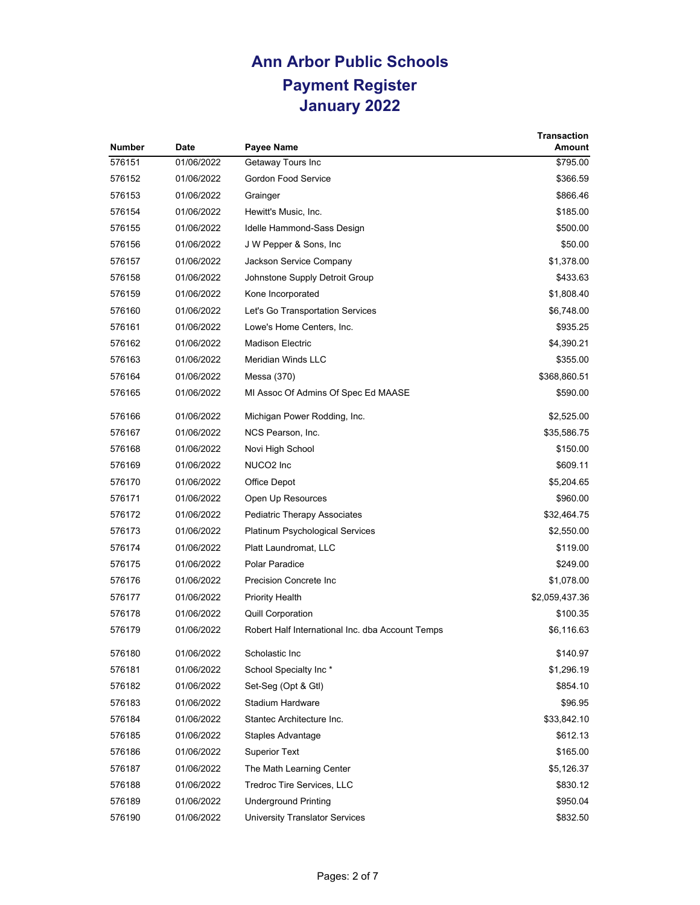| <b>Number</b> | <b>Date</b> |                                                  | <b>Transaction</b><br>Amount |
|---------------|-------------|--------------------------------------------------|------------------------------|
| 576151        | 01/06/2022  | Payee Name                                       |                              |
|               |             | Getaway Tours Inc                                | \$795.00                     |
| 576152        | 01/06/2022  | <b>Gordon Food Service</b>                       | \$366.59                     |
| 576153        | 01/06/2022  | Grainger                                         | \$866.46                     |
| 576154        | 01/06/2022  | Hewitt's Music, Inc.                             | \$185.00                     |
| 576155        | 01/06/2022  | Idelle Hammond-Sass Design                       | \$500.00                     |
| 576156        | 01/06/2022  | J W Pepper & Sons, Inc.                          | \$50.00                      |
| 576157        | 01/06/2022  | Jackson Service Company                          | \$1,378.00                   |
| 576158        | 01/06/2022  | Johnstone Supply Detroit Group                   | \$433.63                     |
| 576159        | 01/06/2022  | Kone Incorporated                                | \$1,808.40                   |
| 576160        | 01/06/2022  | Let's Go Transportation Services                 | \$6,748.00                   |
| 576161        | 01/06/2022  | Lowe's Home Centers, Inc.                        | \$935.25                     |
| 576162        | 01/06/2022  | <b>Madison Electric</b>                          | \$4,390.21                   |
| 576163        | 01/06/2022  | <b>Meridian Winds LLC</b>                        | \$355.00                     |
| 576164        | 01/06/2022  | Messa (370)                                      | \$368,860.51                 |
| 576165        | 01/06/2022  | MI Assoc Of Admins Of Spec Ed MAASE              | \$590.00                     |
| 576166        | 01/06/2022  | Michigan Power Rodding, Inc.                     | \$2,525.00                   |
| 576167        | 01/06/2022  | NCS Pearson, Inc.                                | \$35,586.75                  |
| 576168        | 01/06/2022  | Novi High School                                 | \$150.00                     |
| 576169        | 01/06/2022  | NUCO <sub>2</sub> Inc                            | \$609.11                     |
| 576170        | 01/06/2022  | Office Depot                                     | \$5,204.65                   |
| 576171        | 01/06/2022  | Open Up Resources                                | \$960.00                     |
| 576172        | 01/06/2022  | Pediatric Therapy Associates                     | \$32,464.75                  |
| 576173        | 01/06/2022  | Platinum Psychological Services                  | \$2,550.00                   |
| 576174        | 01/06/2022  | Platt Laundromat, LLC                            | \$119.00                     |
| 576175        | 01/06/2022  | Polar Paradice                                   | \$249.00                     |
| 576176        | 01/06/2022  | Precision Concrete Inc                           | \$1,078.00                   |
| 576177        | 01/06/2022  | <b>Priority Health</b>                           | \$2,059,437.36               |
| 576178        | 01/06/2022  | <b>Quill Corporation</b>                         | \$100.35                     |
| 576179        | 01/06/2022  | Robert Half International Inc. dba Account Temps | \$6,116.63                   |
| 576180        | 01/06/2022  | Scholastic Inc                                   | \$140.97                     |
| 576181        | 01/06/2022  | School Specialty Inc*                            | \$1,296.19                   |
| 576182        | 01/06/2022  | Set-Seg (Opt & Gtl)                              | \$854.10                     |
| 576183        | 01/06/2022  | Stadium Hardware                                 | \$96.95                      |
| 576184        | 01/06/2022  | Stantec Architecture Inc.                        | \$33,842.10                  |
| 576185        | 01/06/2022  | Staples Advantage                                | \$612.13                     |
| 576186        | 01/06/2022  | <b>Superior Text</b>                             | \$165.00                     |
| 576187        | 01/06/2022  | The Math Learning Center                         | \$5,126.37                   |
| 576188        | 01/06/2022  | Tredroc Tire Services, LLC                       | \$830.12                     |
| 576189        | 01/06/2022  | <b>Underground Printing</b>                      | \$950.04                     |
| 576190        | 01/06/2022  | University Translator Services                   | \$832.50                     |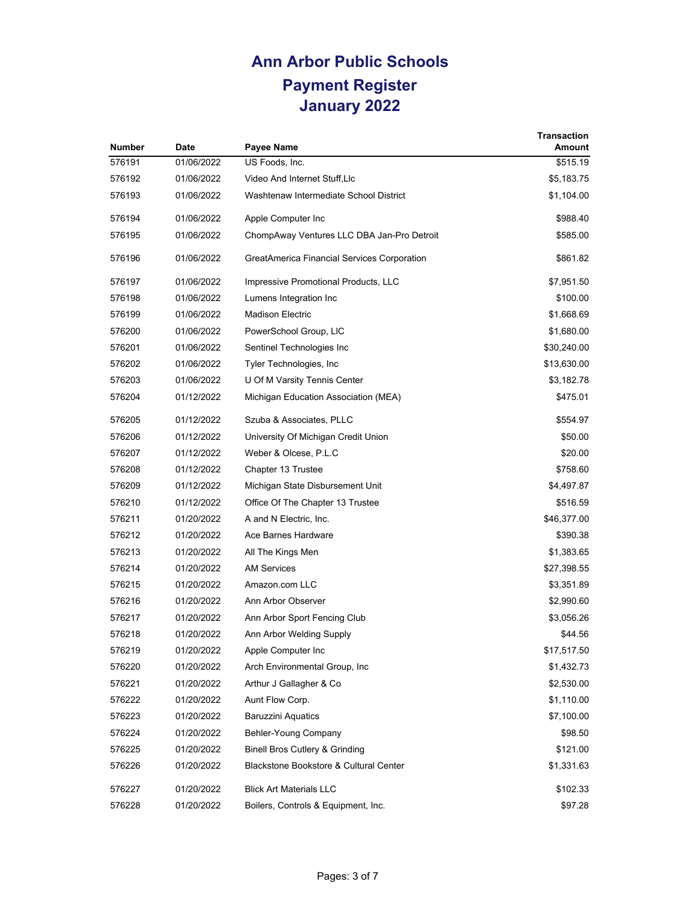|               |             |                                             | <b>Transaction</b> |
|---------------|-------------|---------------------------------------------|--------------------|
| <b>Number</b> | <b>Date</b> | Payee Name                                  | Amount             |
| 576191        | 01/06/2022  | US Foods, Inc.                              | \$515.19           |
| 576192        | 01/06/2022  | Video And Internet Stuff, Llc               | \$5,183.75         |
| 576193        | 01/06/2022  | Washtenaw Intermediate School District      | \$1,104.00         |
| 576194        | 01/06/2022  | Apple Computer Inc                          | \$988.40           |
| 576195        | 01/06/2022  | ChompAway Ventures LLC DBA Jan-Pro Detroit  | \$585.00           |
| 576196        | 01/06/2022  | GreatAmerica Financial Services Corporation | \$861.82           |
| 576197        | 01/06/2022  | Impressive Promotional Products, LLC        | \$7,951.50         |
| 576198        | 01/06/2022  | Lumens Integration Inc                      | \$100.00           |
| 576199        | 01/06/2022  | <b>Madison Electric</b>                     | \$1,668.69         |
| 576200        | 01/06/2022  | PowerSchool Group, LIC                      | \$1,680.00         |
| 576201        | 01/06/2022  | Sentinel Technologies Inc                   | \$30,240.00        |
| 576202        | 01/06/2022  | Tyler Technologies, Inc.                    | \$13,630.00        |
| 576203        | 01/06/2022  | U Of M Varsity Tennis Center                | \$3,182.78         |
| 576204        | 01/12/2022  | Michigan Education Association (MEA)        | \$475.01           |
| 576205        | 01/12/2022  | Szuba & Associates, PLLC                    | \$554.97           |
| 576206        | 01/12/2022  | University Of Michigan Credit Union         | \$50.00            |
| 576207        | 01/12/2022  | Weber & Olcese, P.L.C                       | \$20.00            |
| 576208        | 01/12/2022  | Chapter 13 Trustee                          | \$758.60           |
| 576209        | 01/12/2022  | Michigan State Disbursement Unit            | \$4,497.87         |
| 576210        | 01/12/2022  | Office Of The Chapter 13 Trustee            | \$516.59           |
| 576211        | 01/20/2022  | A and N Electric, Inc.                      | \$46,377.00        |
| 576212        | 01/20/2022  | Ace Barnes Hardware                         | \$390.38           |
| 576213        | 01/20/2022  | All The Kings Men                           | \$1,383.65         |
| 576214        | 01/20/2022  | <b>AM Services</b>                          | \$27,398.55        |
| 576215        | 01/20/2022  | Amazon.com LLC                              | \$3,351.89         |
| 576216        | 01/20/2022  | Ann Arbor Observer                          | \$2,990.60         |
| 576217        | 01/20/2022  | Ann Arbor Sport Fencing Club                | \$3,056.26         |
| 576218        | 01/20/2022  | Ann Arbor Welding Supply                    | \$44.56            |
| 576219        | 01/20/2022  | Apple Computer Inc                          | \$17,517.50        |
| 576220        | 01/20/2022  | Arch Environmental Group, Inc.              | \$1,432.73         |
| 576221        | 01/20/2022  | Arthur J Gallagher & Co                     | \$2,530.00         |
| 576222        | 01/20/2022  | Aunt Flow Corp.                             | \$1,110.00         |
| 576223        | 01/20/2022  | <b>Baruzzini Aquatics</b>                   | \$7,100.00         |
| 576224        | 01/20/2022  | Behler-Young Company                        | \$98.50            |
| 576225        | 01/20/2022  | <b>Binell Bros Cutlery &amp; Grinding</b>   | \$121.00           |
| 576226        | 01/20/2022  | Blackstone Bookstore & Cultural Center      | \$1,331.63         |
| 576227        | 01/20/2022  | <b>Blick Art Materials LLC</b>              | \$102.33           |
| 576228        | 01/20/2022  | Boilers, Controls & Equipment, Inc.         | \$97.28            |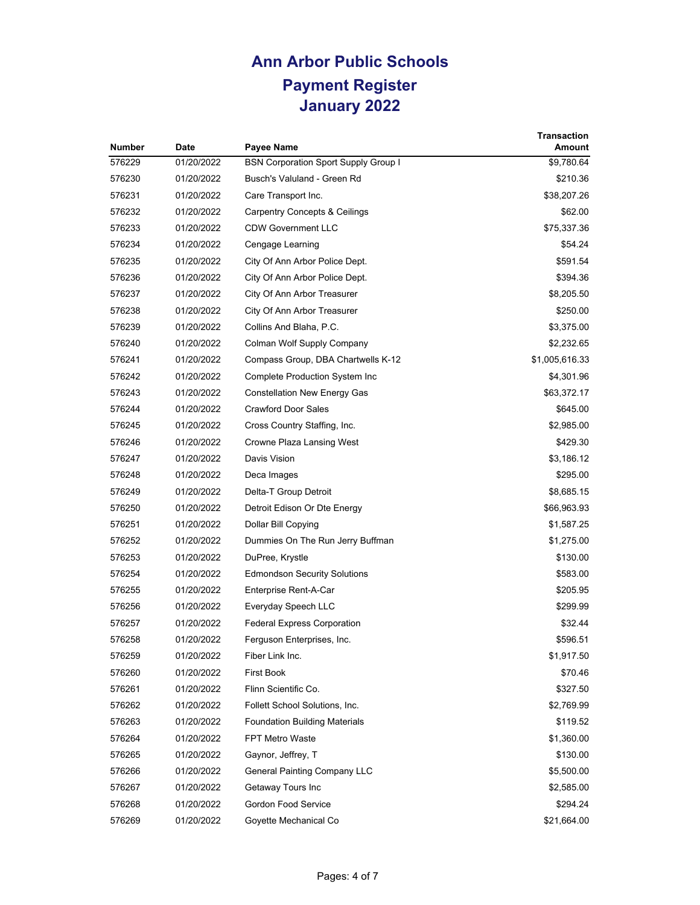| <b>Number</b> | Date       | Payee Name                                                            | <b>Transaction</b><br>Amount |
|---------------|------------|-----------------------------------------------------------------------|------------------------------|
| 576229        | 01/20/2022 | <b>BSN Corporation Sport Supply Group I</b>                           | \$9,780.64                   |
| 576230        | 01/20/2022 | Busch's Valuland - Green Rd                                           | \$210.36                     |
| 576231        | 01/20/2022 | Care Transport Inc.                                                   | \$38,207.26                  |
| 576232        | 01/20/2022 |                                                                       |                              |
| 576233        | 01/20/2022 | <b>Carpentry Concepts &amp; Ceilings</b><br><b>CDW Government LLC</b> | \$62.00                      |
|               |            |                                                                       | \$75,337.36                  |
| 576234        | 01/20/2022 | Cengage Learning                                                      | \$54.24                      |
| 576235        | 01/20/2022 | City Of Ann Arbor Police Dept.                                        | \$591.54                     |
| 576236        | 01/20/2022 | City Of Ann Arbor Police Dept.                                        | \$394.36                     |
| 576237        | 01/20/2022 | City Of Ann Arbor Treasurer                                           | \$8,205.50                   |
| 576238        | 01/20/2022 | City Of Ann Arbor Treasurer                                           | \$250.00                     |
| 576239        | 01/20/2022 | Collins And Blaha, P.C.                                               | \$3,375.00                   |
| 576240        | 01/20/2022 | Colman Wolf Supply Company                                            | \$2,232.65                   |
| 576241        | 01/20/2022 | Compass Group, DBA Chartwells K-12                                    | \$1,005,616.33               |
| 576242        | 01/20/2022 | Complete Production System Inc                                        | \$4,301.96                   |
| 576243        | 01/20/2022 | <b>Constellation New Energy Gas</b>                                   | \$63,372.17                  |
| 576244        | 01/20/2022 | <b>Crawford Door Sales</b>                                            | \$645.00                     |
| 576245        | 01/20/2022 | Cross Country Staffing, Inc.                                          | \$2,985.00                   |
| 576246        | 01/20/2022 | Crowne Plaza Lansing West                                             | \$429.30                     |
| 576247        | 01/20/2022 | Davis Vision                                                          | \$3,186.12                   |
| 576248        | 01/20/2022 | Deca Images                                                           | \$295.00                     |
| 576249        | 01/20/2022 | Delta-T Group Detroit                                                 | \$8,685.15                   |
| 576250        | 01/20/2022 | Detroit Edison Or Dte Energy                                          | \$66,963.93                  |
| 576251        | 01/20/2022 | Dollar Bill Copying                                                   | \$1,587.25                   |
| 576252        | 01/20/2022 | Dummies On The Run Jerry Buffman                                      | \$1,275.00                   |
| 576253        | 01/20/2022 | DuPree, Krystle                                                       | \$130.00                     |
| 576254        | 01/20/2022 | <b>Edmondson Security Solutions</b>                                   | \$583.00                     |
| 576255        | 01/20/2022 | Enterprise Rent-A-Car                                                 | \$205.95                     |
| 576256        | 01/20/2022 | Everyday Speech LLC                                                   | \$299.99                     |
| 576257        | 01/20/2022 | <b>Federal Express Corporation</b>                                    | \$32.44                      |
| 576258        | 01/20/2022 | Ferguson Enterprises, Inc.                                            | \$596.51                     |
| 576259        | 01/20/2022 | Fiber Link Inc.                                                       | \$1,917.50                   |
| 576260        | 01/20/2022 | <b>First Book</b>                                                     | \$70.46                      |
| 576261        | 01/20/2022 | Flinn Scientific Co.                                                  | \$327.50                     |
| 576262        | 01/20/2022 | Follett School Solutions, Inc.                                        | \$2,769.99                   |
| 576263        | 01/20/2022 | <b>Foundation Building Materials</b>                                  | \$119.52                     |
| 576264        | 01/20/2022 | <b>FPT Metro Waste</b>                                                | \$1,360.00                   |
| 576265        | 01/20/2022 | Gaynor, Jeffrey, T                                                    | \$130.00                     |
| 576266        | 01/20/2022 | General Painting Company LLC                                          | \$5,500.00                   |
| 576267        | 01/20/2022 | Getaway Tours Inc                                                     | \$2,585.00                   |
| 576268        | 01/20/2022 | Gordon Food Service                                                   | \$294.24                     |
| 576269        | 01/20/2022 | Goyette Mechanical Co                                                 | \$21,664.00                  |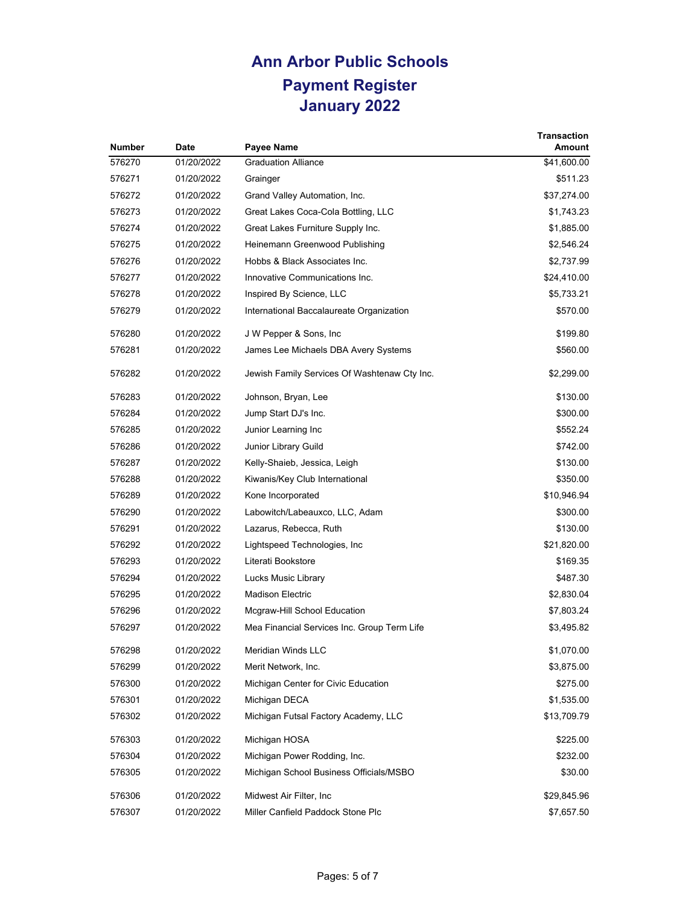| <b>Number</b> | <b>Date</b> | Payee Name                                   | <b>Transaction</b><br>Amount |
|---------------|-------------|----------------------------------------------|------------------------------|
| 576270        | 01/20/2022  | <b>Graduation Alliance</b>                   | \$41,600.00                  |
| 576271        | 01/20/2022  | Grainger                                     | \$511.23                     |
| 576272        | 01/20/2022  | Grand Valley Automation, Inc.                | \$37,274.00                  |
| 576273        | 01/20/2022  | Great Lakes Coca-Cola Bottling, LLC          | \$1,743.23                   |
| 576274        | 01/20/2022  | Great Lakes Furniture Supply Inc.            | \$1,885.00                   |
| 576275        | 01/20/2022  | Heinemann Greenwood Publishing               | \$2,546.24                   |
| 576276        | 01/20/2022  | Hobbs & Black Associates Inc.                | \$2,737.99                   |
| 576277        | 01/20/2022  | Innovative Communications Inc.               | \$24,410.00                  |
| 576278        | 01/20/2022  | Inspired By Science, LLC                     | \$5,733.21                   |
| 576279        | 01/20/2022  | International Baccalaureate Organization     | \$570.00                     |
| 576280        | 01/20/2022  | J W Pepper & Sons, Inc.                      | \$199.80                     |
| 576281        | 01/20/2022  | James Lee Michaels DBA Avery Systems         | \$560.00                     |
| 576282        | 01/20/2022  | Jewish Family Services Of Washtenaw Cty Inc. | \$2,299.00                   |
| 576283        | 01/20/2022  | Johnson, Bryan, Lee                          | \$130.00                     |
| 576284        | 01/20/2022  | Jump Start DJ's Inc.                         | \$300.00                     |
| 576285        | 01/20/2022  | Junior Learning Inc                          | \$552.24                     |
| 576286        | 01/20/2022  | Junior Library Guild                         | \$742.00                     |
| 576287        | 01/20/2022  | Kelly-Shaieb, Jessica, Leigh                 | \$130.00                     |
| 576288        | 01/20/2022  | Kiwanis/Key Club International               | \$350.00                     |
| 576289        | 01/20/2022  | Kone Incorporated                            | \$10,946.94                  |
| 576290        | 01/20/2022  | Labowitch/Labeauxco, LLC, Adam               | \$300.00                     |
| 576291        | 01/20/2022  | Lazarus, Rebecca, Ruth                       | \$130.00                     |
| 576292        | 01/20/2022  | Lightspeed Technologies, Inc                 | \$21,820.00                  |
| 576293        | 01/20/2022  | Literati Bookstore                           | \$169.35                     |
| 576294        | 01/20/2022  | Lucks Music Library                          | \$487.30                     |
| 576295        | 01/20/2022  | <b>Madison Electric</b>                      | \$2,830.04                   |
| 576296        | 01/20/2022  | Mcgraw-Hill School Education                 | \$7,803.24                   |
| 576297        | 01/20/2022  | Mea Financial Services Inc. Group Term Life  | \$3,495.82                   |
| 576298        | 01/20/2022  | Meridian Winds LLC                           | \$1,070.00                   |
| 576299        | 01/20/2022  | Merit Network, Inc.                          | \$3,875.00                   |
| 576300        | 01/20/2022  | Michigan Center for Civic Education          | \$275.00                     |
| 576301        | 01/20/2022  | Michigan DECA                                | \$1,535.00                   |
| 576302        | 01/20/2022  | Michigan Futsal Factory Academy, LLC         | \$13,709.79                  |
| 576303        | 01/20/2022  | Michigan HOSA                                | \$225.00                     |
| 576304        | 01/20/2022  | Michigan Power Rodding, Inc.                 | \$232.00                     |
| 576305        | 01/20/2022  | Michigan School Business Officials/MSBO      | \$30.00                      |
| 576306        | 01/20/2022  | Midwest Air Filter, Inc.                     | \$29,845.96                  |
| 576307        | 01/20/2022  | Miller Canfield Paddock Stone Plc            | \$7,657.50                   |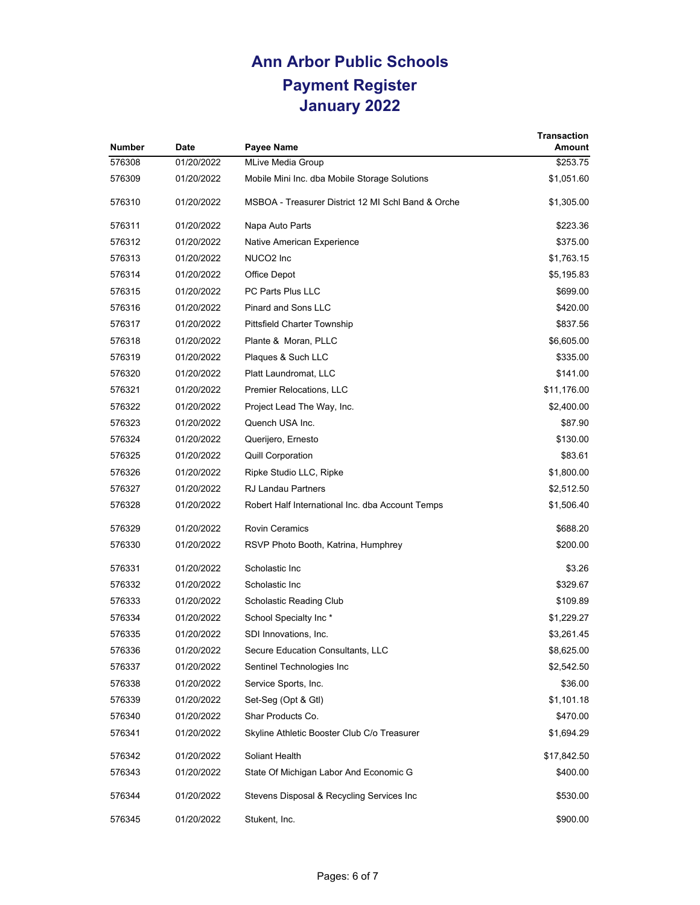| <b>Number</b> | <b>Date</b> | Payee Name                                         | <b>Transaction</b><br>Amount |
|---------------|-------------|----------------------------------------------------|------------------------------|
| 576308        | 01/20/2022  | <b>MLive Media Group</b>                           | \$253.75                     |
| 576309        | 01/20/2022  | Mobile Mini Inc. dba Mobile Storage Solutions      | \$1,051.60                   |
| 576310        | 01/20/2022  | MSBOA - Treasurer District 12 MI Schl Band & Orche | \$1,305.00                   |
| 576311        | 01/20/2022  | Napa Auto Parts                                    | \$223.36                     |
| 576312        | 01/20/2022  | Native American Experience                         | \$375.00                     |
| 576313        | 01/20/2022  | NUCO <sub>2</sub> Inc                              | \$1,763.15                   |
| 576314        | 01/20/2022  | Office Depot                                       | \$5,195.83                   |
| 576315        | 01/20/2022  | <b>PC Parts Plus LLC</b>                           | \$699.00                     |
| 576316        | 01/20/2022  | <b>Pinard and Sons LLC</b>                         | \$420.00                     |
| 576317        | 01/20/2022  | <b>Pittsfield Charter Township</b>                 | \$837.56                     |
| 576318        | 01/20/2022  | Plante & Moran, PLLC                               | \$6,605.00                   |
| 576319        | 01/20/2022  | Plaques & Such LLC                                 | \$335.00                     |
| 576320        | 01/20/2022  | Platt Laundromat, LLC                              | \$141.00                     |
| 576321        | 01/20/2022  | Premier Relocations, LLC                           | \$11,176.00                  |
| 576322        | 01/20/2022  | Project Lead The Way, Inc.                         | \$2,400.00                   |
| 576323        | 01/20/2022  | Quench USA Inc.                                    | \$87.90                      |
| 576324        | 01/20/2022  | Querijero, Ernesto                                 | \$130.00                     |
| 576325        | 01/20/2022  | <b>Quill Corporation</b>                           | \$83.61                      |
| 576326        | 01/20/2022  | Ripke Studio LLC, Ripke                            | \$1,800.00                   |
| 576327        | 01/20/2022  | <b>RJ Landau Partners</b>                          | \$2,512.50                   |
| 576328        | 01/20/2022  | Robert Half International Inc. dba Account Temps   | \$1,506.40                   |
| 576329        | 01/20/2022  | <b>Rovin Ceramics</b>                              | \$688.20                     |
| 576330        | 01/20/2022  | RSVP Photo Booth, Katrina, Humphrey                | \$200.00                     |
| 576331        | 01/20/2022  | Scholastic Inc                                     | \$3.26                       |
| 576332        | 01/20/2022  | Scholastic Inc                                     | \$329.67                     |
| 576333        | 01/20/2022  | Scholastic Reading Club                            | \$109.89                     |
| 576334        | 01/20/2022  | School Specialty Inc*                              | \$1,229.27                   |
| 576335        | 01/20/2022  | SDI Innovations, Inc.                              | \$3,261.45                   |
| 576336        | 01/20/2022  | Secure Education Consultants, LLC                  | \$8,625.00                   |
| 576337        | 01/20/2022  | Sentinel Technologies Inc                          | \$2,542.50                   |
| 576338        | 01/20/2022  | Service Sports, Inc.                               | \$36.00                      |
| 576339        | 01/20/2022  | Set-Seg (Opt & Gtl)                                | \$1,101.18                   |
| 576340        | 01/20/2022  | Shar Products Co.                                  | \$470.00                     |
| 576341        | 01/20/2022  | Skyline Athletic Booster Club C/o Treasurer        | \$1,694.29                   |
| 576342        | 01/20/2022  | Soliant Health                                     | \$17,842.50                  |
| 576343        | 01/20/2022  | State Of Michigan Labor And Economic G             | \$400.00                     |
| 576344        | 01/20/2022  | Stevens Disposal & Recycling Services Inc          | \$530.00                     |
| 576345        | 01/20/2022  | Stukent, Inc.                                      | \$900.00                     |